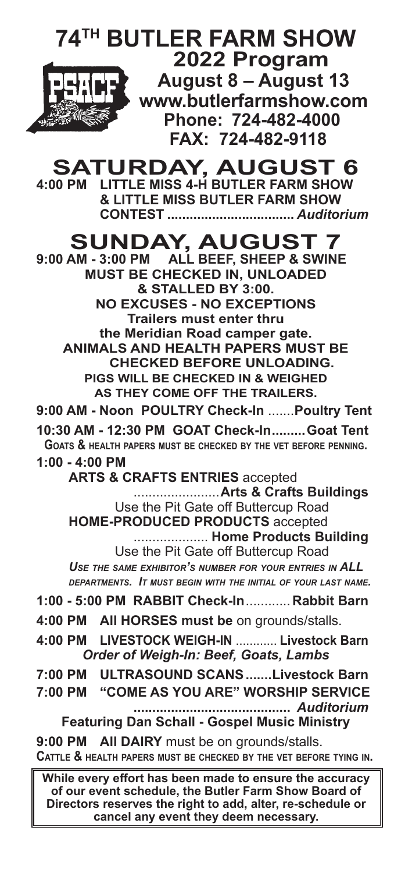

**SATURDAY, AUGUST 6**<br>4:00 PM LITTLE MISS 4-H BUTLER FARM SHOW **4:00 PM LITTLE MISS 4-H BUTLER FARM SHOW & LITTLE MISS BUTLER FARM SHOW**

 **CONTEST ..................................** *Auditorium*

# **SUNDAY, AUGUST 7**

**9:00 AM - 3:00 PM ALL BEEF, SHEEP & SWINE MUST BE CHECKED IN, UNLOADED & STALLED BY 3:00. NO EXCUSES - NO EXCEPTIONS Trailers must enter thru the Meridian Road camper gate. ANIMALS AND HEALTH PAPERS MUST BE CHECKED BEFORE UNLOADING. PIGS WILL BE CHECKED IN & WEIGHED AS THEY COME OFF THE TRAILERS.**

**9:00 AM - Noon POULTRY Check-In** .......**Poultry Tent 10:30 AM - 12:30 PM GOAT Check-In.........Goat Tent Goats & health papers must be checked by the vet before penning.**

**1:00 - 4:00 PM**

 **ARTS & CRAFTS ENTRIES** accepted .......................**Arts & Crafts Buildings** Use the Pit Gate off Buttercup Road **HOME-PRODUCED PRODUCTS** accepted .................... **Home Products Building** Use the Pit Gate off Buttercup Road *Use the same exhibitor's number for your entries in ALL* 

*departments. It must begin with the initial of your last name.*

- **1:00 5:00 PM RABBIT Check-In**............**Rabbit Barn**
- **4:00 PM All HORSES must be** on grounds/stalls.
- **4:00 PM LIVESTOCK WEIGH-IN** ............ **Livestock Barn** *Order of Weigh-In: Beef, Goats, Lambs*
- **7:00 PM ULTRASOUND SCANS.......Livestock Barn**
- **7:00 PM "COME AS YOU ARE" WORSHIP SERVICE ..........................................** *Auditorium* **Featuring Dan Schall - Gospel Music Ministry**

**9:00 PM All DAIRY** must be on grounds/stalls. **Cattle & health papers must be checked by the vet before tying in.**

**While every effort has been made to ensure the accuracy of our event schedule, the Butler Farm Show Board of Directors reserves the right to add, alter, re-schedule or cancel any event they deem necessary.**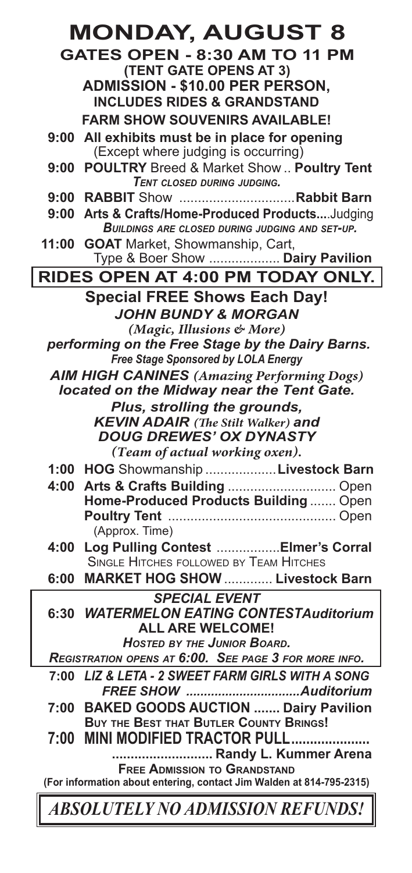|                                                                      | <b>MONDAY, AUGUST 8</b>                                                                        |  |  |
|----------------------------------------------------------------------|------------------------------------------------------------------------------------------------|--|--|
|                                                                      | <b>GATES OPEN - 8:30 AM TO 11 PM</b>                                                           |  |  |
|                                                                      | (TENT GATE OPENS AT 3)                                                                         |  |  |
|                                                                      | ADMISSION - \$10.00 PER PERSON,                                                                |  |  |
|                                                                      | <b>INCLUDES RIDES &amp; GRANDSTAND</b>                                                         |  |  |
|                                                                      | <b>FARM SHOW SOUVENIRS AVAILABLE!</b>                                                          |  |  |
|                                                                      | 9:00 All exhibits must be in place for opening<br>(Except where judging is occurring)          |  |  |
|                                                                      | 9:00 POULTRY Breed & Market Show  Poultry Tent                                                 |  |  |
|                                                                      | <b>TENT CLOSED DURING JUDGING.</b>                                                             |  |  |
|                                                                      |                                                                                                |  |  |
| 9:00                                                                 | Arts & Crafts/Home-Produced ProductsJudging                                                    |  |  |
|                                                                      | <b>BUILDINGS ARE CLOSED DURING JUDGING AND SET-UP.</b>                                         |  |  |
| 11:00                                                                | <b>GOAT</b> Market, Showmanship, Cart,<br>Type & Boer Show  Dairy Pavilion                     |  |  |
|                                                                      | <b>RIDES OPEN AT 4:00 PM TODAY ONLY.</b>                                                       |  |  |
|                                                                      | <b>Special FREE Shows Each Day!</b>                                                            |  |  |
|                                                                      | <b>JOHN BUNDY &amp; MORGAN</b>                                                                 |  |  |
|                                                                      | (Magic, Illusions & More)                                                                      |  |  |
|                                                                      | performing on the Free Stage by the Dairy Barns.                                               |  |  |
|                                                                      | Free Stage Sponsored by LOLA Energy                                                            |  |  |
|                                                                      | <b>AIM HIGH CANINES</b> (Amazing Performing Dogs)<br>located on the Midway near the Tent Gate. |  |  |
|                                                                      | Plus, strolling the grounds,                                                                   |  |  |
|                                                                      | <b>KEVIN ADAIR</b> (The Stilt Walker) and                                                      |  |  |
|                                                                      | <b>DOUG DREWES' OX DYNASTY</b>                                                                 |  |  |
|                                                                      | (Team of actual working oxen).                                                                 |  |  |
|                                                                      | 1:00 HOG Showmanship  Livestock Barn                                                           |  |  |
| 4:00                                                                 |                                                                                                |  |  |
|                                                                      | Home-Produced Products Building  Open                                                          |  |  |
|                                                                      | (Approx. Time)                                                                                 |  |  |
| 4:00                                                                 | Log Pulling Contest  Elmer's Corral                                                            |  |  |
|                                                                      | <b>SINGLE HITCHES FOLLOWED BY TEAM HITCHES</b>                                                 |  |  |
|                                                                      | 6:00 MARKET HOG SHOW  Livestock Barn                                                           |  |  |
|                                                                      | <b>SPECIAL EVENT</b>                                                                           |  |  |
|                                                                      | 6:30 WATERMELON EATING CONTESTAuditorium                                                       |  |  |
|                                                                      | ALL ARE WELCOME!<br><b>HOSTED BY THE JUNIOR BOARD.</b>                                         |  |  |
|                                                                      | REGISTRATION OPENS AT 6:00. SEE PAGE 3 FOR MORE INFO.                                          |  |  |
| 7:00                                                                 | LIZ & LETA - 2 SWEET FARM GIRLS WITH A SONG                                                    |  |  |
|                                                                      |                                                                                                |  |  |
| 7:00                                                                 | <b>BAKED GOODS AUCTION  Dairy Pavilion</b>                                                     |  |  |
|                                                                      | <b>BUY THE BEST THAT BUTLER COUNTY BRINGS!</b>                                                 |  |  |
| 7:00                                                                 | MINI MODIFIED TRACTOR PULL                                                                     |  |  |
|                                                                      | Randy L. Kummer Arena<br><b>FREE ADMISSION TO GRANDSTAND</b>                                   |  |  |
| (For information about entering, contact Jim Walden at 814-795-2315) |                                                                                                |  |  |
|                                                                      | ABSOLUTELY NO ADMISSION REFUNDS!                                                               |  |  |
|                                                                      |                                                                                                |  |  |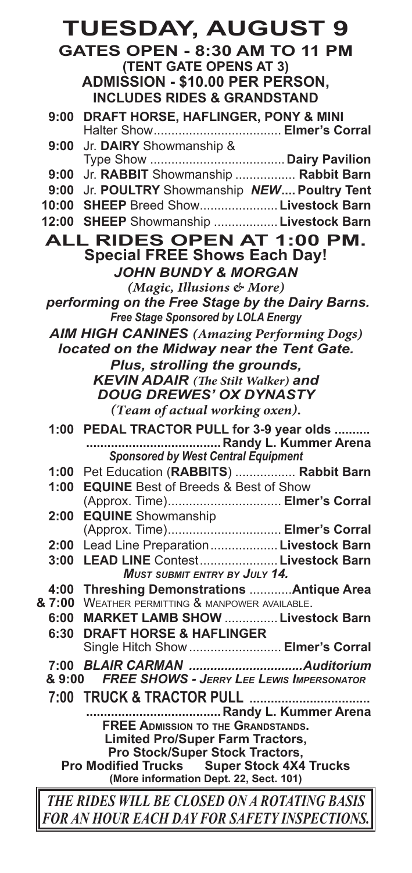|                                                             | <b>TUESDAY, AUGUST 9</b>                                                                       |  |  |
|-------------------------------------------------------------|------------------------------------------------------------------------------------------------|--|--|
| <b>GATES OPEN - 8:30 AM TO 11 PM</b>                        |                                                                                                |  |  |
|                                                             | (TENT GATE OPENS AT 3)                                                                         |  |  |
|                                                             | <b>ADMISSION - \$10.00 PER PERSON,</b>                                                         |  |  |
|                                                             | <b>INCLUDES RIDES &amp; GRANDSTAND</b>                                                         |  |  |
| 9:00                                                        | DRAFT HORSE, HAFLINGER, PONY & MINI                                                            |  |  |
|                                                             |                                                                                                |  |  |
| 9:00                                                        | Jr. DAIRY Showmanship &                                                                        |  |  |
|                                                             |                                                                                                |  |  |
| 9:00                                                        | Jr. RABBIT Showmanship  Rabbit Barn                                                            |  |  |
| 9:00                                                        | Jr. POULTRY Showmanship NEW Poultry Tent                                                       |  |  |
| 10:00                                                       | SHEEP Breed Show Livestock Barn                                                                |  |  |
|                                                             | 12:00 SHEEP Showmanship  Livestock Barn                                                        |  |  |
|                                                             | ALL RIDES OPEN AT 1:00 PM.                                                                     |  |  |
|                                                             | <b>Special FREE Shows Each Day!</b>                                                            |  |  |
|                                                             | <b>JOHN BUNDY &amp; MORGAN</b>                                                                 |  |  |
|                                                             | (Magic, Illusions & More)                                                                      |  |  |
|                                                             | performing on the Free Stage by the Dairy Barns.                                               |  |  |
|                                                             | Free Stage Sponsored by LOLA Energy                                                            |  |  |
|                                                             | <b>AIM HIGH CANINES</b> (Amazing Performing Dogs)<br>located on the Midway near the Tent Gate. |  |  |
|                                                             |                                                                                                |  |  |
|                                                             | Plus, strolling the grounds,<br><b>KEVIN ADAIR</b> (The Stilt Walker) and                      |  |  |
|                                                             | <b>DOUG DREWES' OX DYNASTY</b>                                                                 |  |  |
|                                                             | (Team of actual working oxen).                                                                 |  |  |
|                                                             | 1:00 PEDAL TRACTOR PULL for 3-9 year olds                                                      |  |  |
|                                                             | Randy L. Kummer Arena                                                                          |  |  |
|                                                             | Sponsored by West Central Equipment                                                            |  |  |
| 1:00                                                        | Pet Education (RABBITS)  Rabbit Barn                                                           |  |  |
| 1:00                                                        | <b>EQUINE</b> Best of Breeds & Best of Show                                                    |  |  |
|                                                             | (Approx. Time) Elmer's Corral                                                                  |  |  |
| 2:00                                                        | <b>EQUINE</b> Showmanship                                                                      |  |  |
| 2:00                                                        | (Approx. Time) Elmer's Corral<br>Lead Line Preparation Livestock Barn                          |  |  |
| 3:00                                                        | LEAD LINE Contest Livestock Barn                                                               |  |  |
|                                                             | <b>MUST SUBMIT ENTRY BY JULY 14.</b>                                                           |  |  |
| 4:00                                                        | Threshing Demonstrations  Antique Area                                                         |  |  |
| & 7:00                                                      | WEATHER PERMITTING & MANPOWER AVAILABLE.                                                       |  |  |
| 6:00                                                        | <b>MARKET LAMB SHOW Livestock Barn</b>                                                         |  |  |
|                                                             | 6:30 DRAFT HORSE & HAFLINGER                                                                   |  |  |
|                                                             | Single Hitch Show  Elmer's Corral                                                              |  |  |
| 7:00                                                        |                                                                                                |  |  |
| & 9:00                                                      | <b>FREE SHOWS - JERRY LEE LEWIS IMPERSONATOR</b>                                               |  |  |
|                                                             |                                                                                                |  |  |
|                                                             |                                                                                                |  |  |
|                                                             | <b>FREE ADMISSION TO THE GRANDSTANDS.</b><br><b>Limited Pro/Super Farm Tractors,</b>           |  |  |
| Pro Stock/Super Stock Tractors,                             |                                                                                                |  |  |
| <b>Super Stock 4X4 Trucks</b><br><b>Pro Modified Trucks</b> |                                                                                                |  |  |
| (More information Dept. 22, Sect. 101)                      |                                                                                                |  |  |
|                                                             | THE RIDES WILL BE CLOSED ON A ROTATING BASIS                                                   |  |  |

*FOR AN HOUR EACH DAY FOR SAFETY INSPECTIONS.*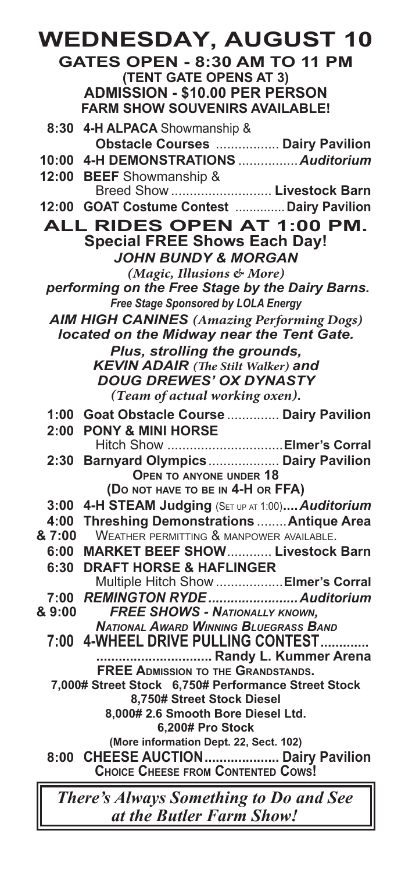### **WEDNESDAY, AUGUST 10 GATES OPEN - 8:30 AM TO 11 PM (TENT GATE OPENS AT 3) ADMISSION - \$10.00 PER PERSON FARM SHOW SOUVENIRS AVAILABLE! 8:30 4-H ALPACA** Showmanship &  **Obstacle Courses** ................. **Dairy Pavilion 10:00 4-H DEMONSTRATIONS** ................*Auditorium* **12:00 BEEF** Showmanship & Breed Show ........................... **Livestock Barn 12:00 GOAT Costume Contest** .............. **Dairy Pavilion ALL RIDES OPEN AT 1:00 PM. Special FREE Shows Each Day!** *JOHN BUNDY & MORGAN (Magic, Illusions & More) performing on the Free Stage by the Dairy Barns. Free Stage Sponsored by LOLA Energy AIM HIGH CANINES (Amazing Performing Dogs) located on the Midway near the Tent Gate. Plus, strolling the grounds, KEVIN ADAIR (The Stilt Walker) and DOUG DREWES' OX DYNASTY (Team of actual working oxen).* **1:00 Goat Obstacle Course** .............. **Dairy Pavilion 2:00 PONY & MINI HORSE** Hitch Show ...............................**Elmer's Corral 2:30 Barnyard Olympics**................... **Dairy Pavilion Open to anyone under 18 (Do not have to be in 4-H or FFA) 3:00 4-H STEAM Judging** (Set up at 1:00)**....***Auditorium* **4:00 Threshing Demonstrations** ........**Antique Area** WEATHER PERMITTING & MANPOWER AVAILABLE. **6:00 MARKET BEEF SHOW**............ **Livestock Barn 6:30 DRAFT HORSE & HAFLINGER** Multiple Hitch Show ..................**Elmer's Corral 7:00** *REMINGTON RYDE........................Auditorium* **& 9:00** *FREE SHOWS - Nationally known, National Award Winning Bluegrass Band* **7:00 4-WHEEL DRIVE PULLING CONTEST............. ............................... Randy L. Kummer Arena FREE Admission to the Grandstands. 7,000# Street Stock 6,750# Performance Street Stock 8,750# Street Stock Diesel 8,000# 2.6 Smooth Bore Diesel Ltd. 6,200# Pro Stock (More information Dept. 22, Sect. 102) 8:00 CHEESE AUCTION.................... Dairy Pavilion Choice Cheese from Contented Cows!**

*There's Always Something to Do and See at the Butler Farm Show!*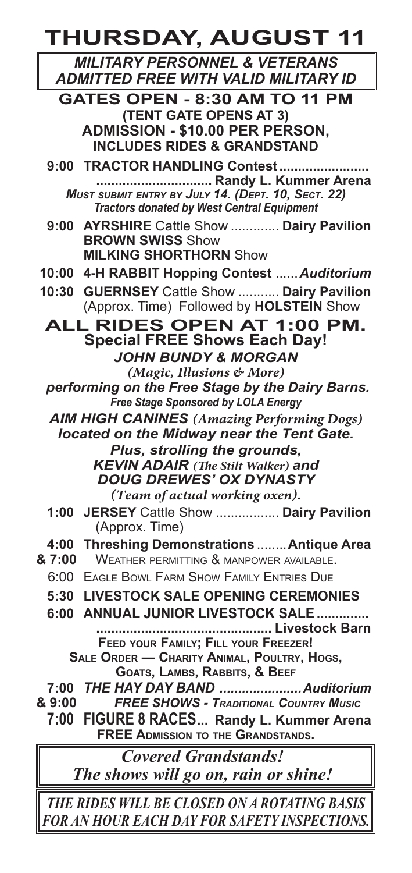**THURSDAY, AUGUST 11**

*MILITARY PERSONNEL & VETERANS ADMITTED FREE WITH VALID MILITARY ID*

**GATES OPEN - 8:30 AM TO 11 PM (TENT GATE OPENS AT 3) ADMISSION - \$10.00 PER PERSON, INCLUDES RIDES & GRANDSTAND**

**9:00 TRACTOR HANDLING Contest........................ ............................... Randy L. Kummer Arena** *Must submit entry by July 14. (Dept. 10, Sect. 22) Tractors donated by West Central Equipment*

**9:00 AYRSHIRE** Cattle Show ............. **Dairy Pavilion BROWN SWISS** Show **MILKING SHORTHORN** Show

**10:00 4-H RABBIT Hopping Contest** ......*Auditorium*

**10:30 GUERNSEY** Cattle Show ........... **Dairy Pavilion** (Approx. Time) Followed by **HOLSTEIN** Show

**ALL RIDES OPEN AT 1:00 PM. Special FREE Shows Each Day!** *JOHN BUNDY & MORGAN*

*(Magic, Illusions & More) performing on the Free Stage by the Dairy Barns. Free Stage Sponsored by LOLA Energy*

*AIM HIGH CANINES (Amazing Performing Dogs) located on the Midway near the Tent Gate.*

> *Plus, strolling the grounds, KEVIN ADAIR (The Stilt Walker) and DOUG DREWES' OX DYNASTY (Team of actual working oxen).*

**1:00 JERSEY** Cattle Show ................. **Dairy Pavilion** (Approx. Time)

## **4:00 Threshing Demonstrations** ........**Antique Area**

- WEATHER PERMITTING & MANPOWER AVAILABLE.
- 6:00 Eagle Bowl Farm Show Family Entries Due

**5:30 LIVESTOCK SALE OPENING CEREMONIES**

**6:00 ANNUAL JUNIOR LIVESTOCK SALE.............. ............................................... Livestock Barn Feed your Family; Fill your Freezer! Sale Order — Charity Animal, Poultry, Hogs,**

**Goats, Lambs, Rabbits, & Beef**

**7:00** *THE HAY DAY BAND ......................Auditorium*

**& 9:00** *FREE SHOWS - Traditional Country Music*

**7:00 FIGURE 8 RACES... Randy L. Kummer Arena FREE Admission to the Grandstands.**

*Covered Grandstands! The shows will go on, rain or shine!*

*THE RIDES WILL BE CLOSED ON A ROTATING BASIS FOR AN HOUR EACH DAY FOR SAFETY INSPECTIONS.*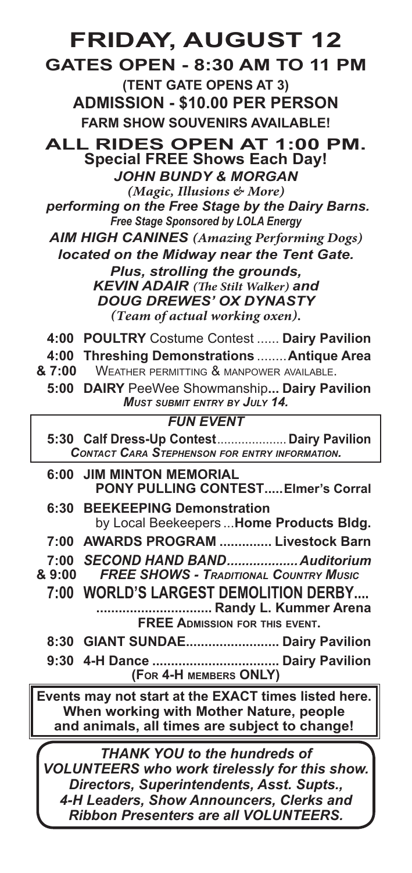## **FRIDAY, AUGUST 12**

**GATES OPEN - 8:30 AM TO 11 PM (TENT GATE OPENS AT 3) ADMISSION - \$10.00 PER PERSON FARM SHOW SOUVENIRS AVAILABLE!**

**ALL RIDES OPEN AT 1:00 PM. Special FREE Shows Each Day!** *JOHN BUNDY & MORGAN*

*(Magic, Illusions & More) performing on the Free Stage by the Dairy Barns. Free Stage Sponsored by LOLA Energy*

*AIM HIGH CANINES (Amazing Performing Dogs)*

*located on the Midway near the Tent Gate. Plus, strolling the grounds, KEVIN ADAIR (The Stilt Walker) and DOUG DREWES' OX DYNASTY (Team of actual working oxen).*

- **4:00 POULTRY** Costume Contest ...... **Dairy Pavilion**
- **4:00 Threshing Demonstrations** ........**Antique Area**
- **& 7:00** Weather permitting & manpower available.
	- **5:00 DAIRY** PeeWee Showmanship**... Dairy Pavilion** *Must submit entry by July 14.*

### *FUN EVENT*

| 5:30 Calf Dress-Up Contest Dairy Pavilion<br><b>CONTACT CARA STEPHENSON FOR ENTRY INFORMATION.</b> |  |
|----------------------------------------------------------------------------------------------------|--|
| <b>6:00 JIM MINTON MEMORIAL</b><br><b>PONY PULLING CONTEST Elmer's Corral</b>                      |  |

| 6:30 BEEKEEPING Demonstration |  |  |                                          |  |
|-------------------------------|--|--|------------------------------------------|--|
|                               |  |  | by Local Beekeepers  Home Products Bldg. |  |

- **7:00 AWARDS PROGRAM .............. Livestock Barn**
- **7:00** *SECOND HAND BAND...................Auditorium*
- **& 9:00** *FREE SHOWS Traditional Country Music*

**7:00 WORLD'S LARGEST DEMOLITION DERBY.... ............................... Randy L. Kummer Arena FREE Admission for this event.**

- **8:30 GIANT SUNDAE......................... Dairy Pavilion**
- **9:30 4-H Dance .................................. Dairy Pavilion (For 4-H members ONLY)**

**Events may not start at the EXACT times listed here. When working with Mother Nature, people and animals, all times are subject to change!**

*THANK YOU to the hundreds of VOLUNTEERS who work tirelessly for this show. Directors, Superintendents, Asst. Supts., 4-H Leaders, Show Announcers, Clerks and Ribbon Presenters are all VOLUNTEERS.*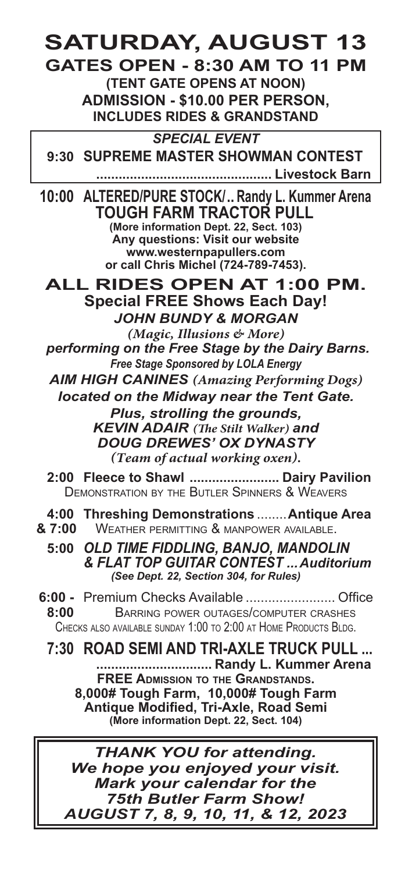# **SATURDAY, AUGUST 13**

**GATES OPEN - 8:30 AM TO 11 PM (TENT GATE OPENS AT NOON) ADMISSION - \$10.00 PER PERSON, INCLUDES RIDES & GRANDSTAND**

*SPECIAL EVENT* **9:30 SUPREME MASTER SHOWMAN CONTEST**

 **............................................... Livestock Barn**

**10:00 ALTERED/PURE STOCK/.. Randy L. Kummer Arena TOUGH FARM TRACTOR PULL (More information Dept. 22, Sect. 103) Any questions: Visit our website www.westernpapullers.com or call Chris Michel (724-789-7453).**

**ALL RIDES OPEN AT 1:00 PM. Special FREE Shows Each Day!** *JOHN BUNDY & MORGAN*

*(Magic, Illusions & More) performing on the Free Stage by the Dairy Barns. Free Stage Sponsored by LOLA Energy*

*AIM HIGH CANINES (Amazing Performing Dogs) located on the Midway near the Tent Gate.*

> *Plus, strolling the grounds, KEVIN ADAIR (The Stilt Walker) and DOUG DREWES' OX DYNASTY (Team of actual working oxen).*

**2:00 Fleece to Shawl ........................ Dairy Pavilion** Demonstration by the Butler Spinners & Weavers

**4:00 Threshing Demonstrations** ........**Antique Area**

**& 7:00** Weather permitting & manpower available.

**5:00** *OLD TIME FIDDLING, BANJO, MANDOLIN & FLAT TOP GUITAR CONTEST ...Auditorium (See Dept. 22, Section 304, for Rules)*

**6:00 - Premium Checks Available .............................. Office 8:00** BARRING POWER OUTAGES/COMPUTER CRASHES BARRING POWER OUTAGES/COMPUTER CRASHES CHECKS ALSO AVAILABLE SUNDAY 1:00 TO 2:00 AT HOME PRODUCTS BI DG.

**7:30 ROAD SEMI AND TRI-AXLE TRUCK PULL ... ............................... Randy L. Kummer Arena FREE Admission to the Grandstands. 8,000# Tough Farm, 10,000# Tough Farm Antique Modified, Tri-Axle, Road Semi (More information Dept. 22, Sect. 104)**

*THANK YOU for attending. We hope you enjoyed your visit. Mark your calendar for the 75th Butler Farm Show! AUGUST 7, 8, 9, 10, 11, & 12, 2023*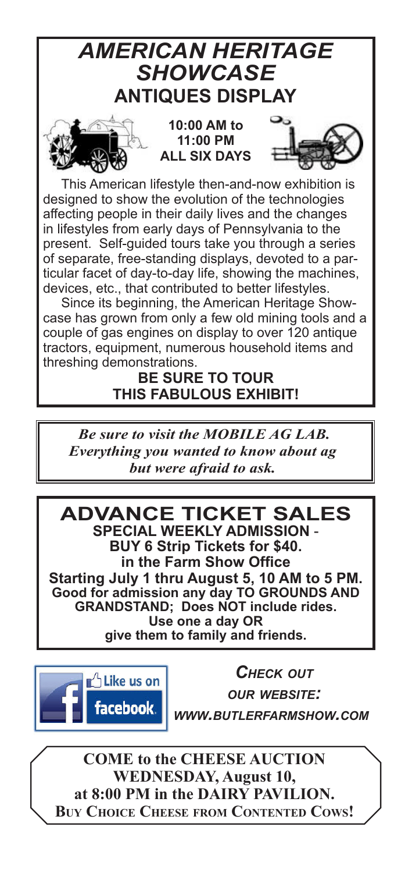## *AMERICAN HERITAGE SHOWCASE* **ANTIQUES DISPLAY**



**10:00 AM to 11:00 PM ALL SIX DAYS**



This American lifestyle then-and-now exhibition is designed to show the evolution of the technologies affecting people in their daily lives and the changes in lifestyles from early days of Pennsylvania to the present. Self-guided tours take you through a series of separate, free-standing displays, devoted to a particular facet of day-to-day life, showing the machines, devices, etc., that contributed to better lifestyles.

Since its beginning, the American Heritage Showcase has grown from only a few old mining tools and a couple of gas engines on display to over 120 antique tractors, equipment, numerous household items and threshing demonstrations.

## **BE SURE TO TOUR THIS FABULOUS EXHIBIT!**

*Be sure to visit the MOBILE AG LAB. Everything you wanted to know about ag but were afraid to ask.*

**ADVANCE TICKET SALES SPECIAL WEEKLY ADMISSION** - **BUY 6 Strip Tickets for \$40. in the Farm Show Office Starting July 1 thru August 5, 10 AM to 5 PM. Good for admission any day TO GROUNDS AND GRANDSTAND; Does NOT include rides. Use one a day OR give them to family and friends.**



*Check out our website: www.butlerfarmshow.com*

**COME to the CHEESE AUCTION WEDNESDAY, August 10, at 8:00 PM in the DAIRY PAVILION. Buy Choice Cheese from Contented Cows!**